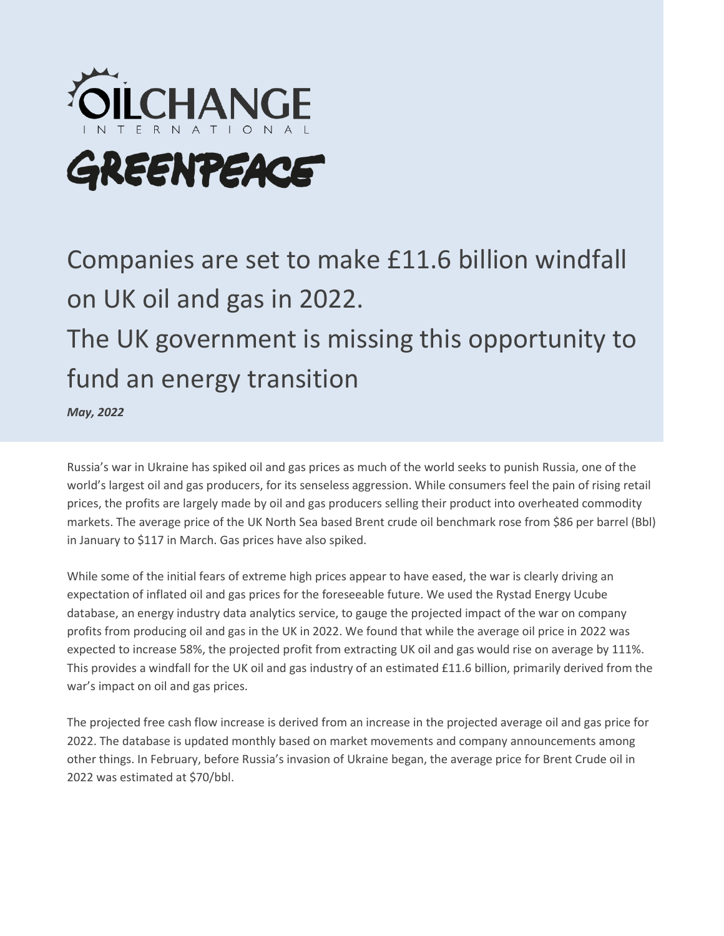

# GREENPEACE

## Companies are set to make £11.6 billion windfall on UK oil and gas in 2022. The UK government is missing this opportunity to fund an energy transition

*May, 2022* 

Russia's war in Ukraine has spiked oil and gas prices as much of the world seeks to punish Russia, one of the world's largest oil and gas producers, for its senseless aggression. While consumers feel the pain of rising retail prices, the profits are largely made by oil and gas producers selling their product into overheated commodity markets. The average price of the UK North Sea based Brent crude oil benchmark rose from \$86 per barrel (Bbl) in January to \$117 in March. Gas prices have also spiked.

While some of the initial fears of extreme high prices appear to have eased, the war is clearly driving an expectation of inflated oil and gas prices for the foreseeable future. We used the Rystad Energy Ucube database, an energy industry data analytics service, to gauge the projected impact of the war on company profits from producing oil and gas in the UK in 2022. We found that while the average oil price in 2022 was expected to increase 58%, the projected profit from extracting UK oil and gas would rise on average by 111%. This provides a windfall for the UK oil and gas industry of an estimated £11.6 billion, primarily derived from the war's impact on oil and gas prices.

The projected free cash flow increase is derived from an increase in the projected average oil and gas price for 2022. The database is updated monthly based on market movements and company announcements among other things. In February, before Russia's invasion of Ukraine began, the average price for Brent Crude oil in 2022 was estimated at \$70/bbl.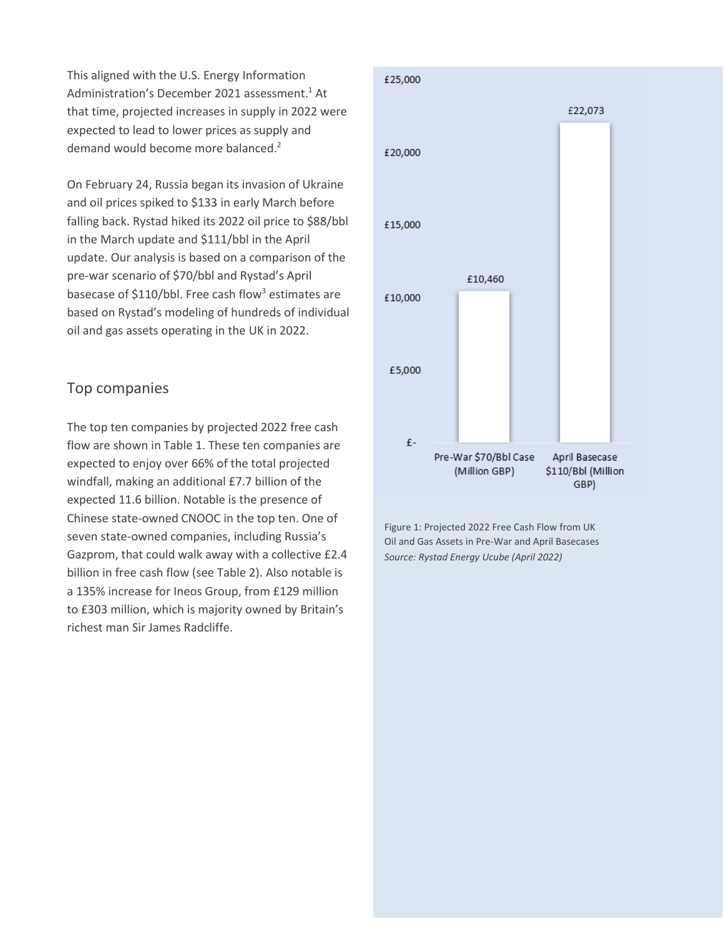This aligned with the U.S. Energy Information Administration's December 2021 assessment.<sup>1</sup> At that time, projected increases in supply in 2022 were expected to lead to lower prices as supply and demand would become more balanced.<sup>2</sup>

On February 24, Russia began its invasion of Ukraine and oil prices spiked to \$133 in early March before falling back. Rystad hiked its 2022 oil price to \$88/bbl in the March update and \$111/bbl in the April update. Our analysis is based on a comparison of the pre-war scenario of \$70/bbl and Rystad's April basecase of \$110/bbl. Free cash flow<sup>3</sup> estimates are based on Rystad's modeling of hundreds of individual oil and gas assets operating in the UK in 2022.

## Top companies

The top ten companies by projected 2022 free cash flow are shown in Table 1. These ten companies are expected to enjoy over 66% of the total projected windfall, making an additional £7.7 billion of the expected 11.6 billion. Notable is the presence of Chinese state-owned CNOOC in the top ten. One of seven state-owned companies, including Russia's Gazprom, that could walk away with a collective £2.4 billion in free cash flow (see Table 2). Also notable is a 135% increase for Ineos Group, from £129 million to £303 million, which is majority owned by Britain's richest man Sir James Radcliffe.



Figure 1: Projected 2022 Free Cash Flow from UK Oil and Gas Assets in Pre-War and April Basecases *Source: Rystad Energy Ucube (April 2022)*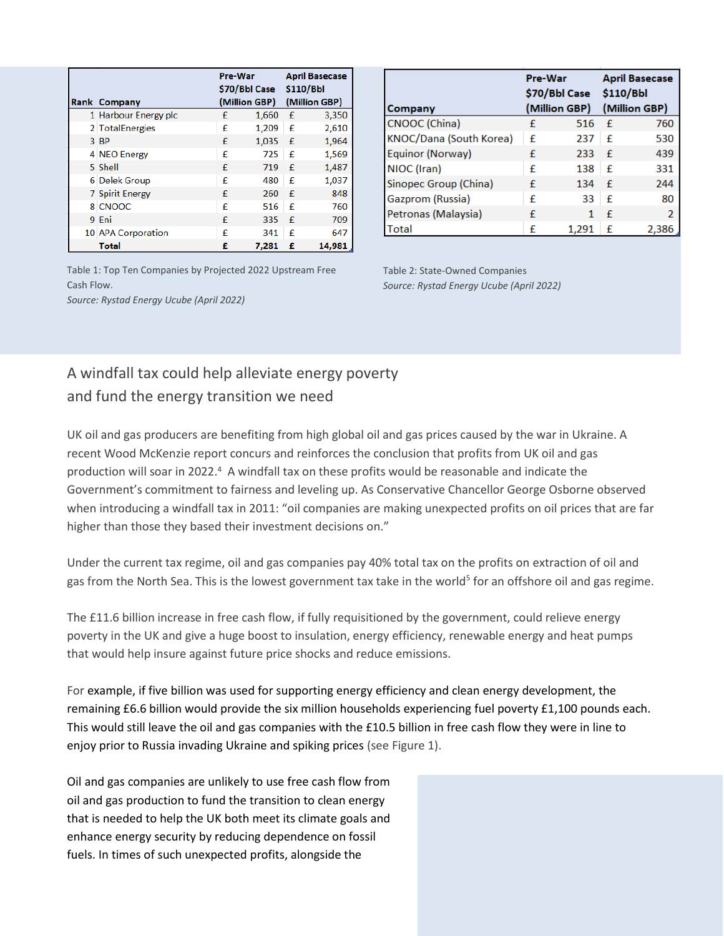|                        | Pre-War<br>\$70/Bbl Case |       | <b>April Basecase</b><br>\$110/Bbl |        |
|------------------------|--------------------------|-------|------------------------------------|--------|
| Rank Company           | (Million GBP)            |       | (Million GBP)                      |        |
| 1 Harbour Energy plc   | £                        | 1,660 | $\mathbf f$                        | 3,350  |
| 2 TotalEnergies        | £                        | 1,209 | £                                  | 2,610  |
| 3 BP                   | £                        | 1,035 | £                                  | 1,964  |
| 4 NEO Energy           | £                        | 725   | £                                  | 1,569  |
| 5 Shell                | £                        | 719   | £                                  | 1,487  |
| 6 Delek Group          | £                        | 480   | £                                  | 1,037  |
| <b>7 Spirit Energy</b> | £                        | 260   | £                                  | 848    |
| 8 CNOOC                | £                        | 516   | £                                  | 760    |
| 9 Eni                  | £                        | 335   | £                                  | 709    |
| 10 APA Corporation     | £                        | 341   | £                                  | 647    |
| <b>Total</b>           | £                        | 7.281 | £                                  | 14,981 |

Table 1: Top Ten Companies by Projected 2022 Upstream Free Cash Flow. *Source: Rystad Energy Ucube (April 2022)*

|                         | Pre-War<br>\$70/Bbl Case \$110/Bbl |       | <b>April Basecase</b> |               |
|-------------------------|------------------------------------|-------|-----------------------|---------------|
| Company                 | (Million GBP)                      |       | (Million GBP)         |               |
| <b>CNOOC</b> (China)    | £                                  | 516   | £                     | 760           |
| KNOC/Dana (South Korea) | £                                  | 237   | £                     | 530           |
| Equinor (Norway)        | £                                  | 233   | £                     | 439           |
| NIOC (Iran)             | £                                  | 138   | £                     | 331           |
| Sinopec Group (China)   | £                                  | 134   | f                     | 244           |
| Gazprom (Russia)        | £                                  | 33    | £                     | 80            |
| Petronas (Malaysia)     | £                                  |       | £                     | $\mathcal{P}$ |
| Total                   | £                                  | 1,291 | £                     | 2,386         |

Table 2: State-Owned Companies *Source: Rystad Energy Ucube (April 2022)*

## A windfall tax could help alleviate energy poverty and fund the energy transition we need

UK oil and gas producers are benefiting from high global oil and gas prices caused by the war in Ukraine. A recent Wood McKenzie report concurs and reinforces the conclusion that profits from UK oil and gas production will soar in 2022.<sup>4</sup> A windfall tax on these profits would be reasonable and indicate the Government's commitment to fairness and leveling up. As Conservative Chancellor George Osborne observed when introducing a windfall tax in 2011: "oil companies are making unexpected profits on oil prices that are far higher than those they based their investment decisions on."

Under the current tax regime, oil and gas companies pay 40% total tax on the profits on extraction of oil and gas from the North Sea. This is the lowest government tax take in the world<sup>5</sup> for an offshore oil and gas regime.

The £11.6 billion increase in free cash flow, if fully requisitioned by the government, could relieve energy poverty in the UK and give a huge boost to insulation, energy efficiency, renewable energy and heat pumps that would help insure against future price shocks and reduce emissions.

For example, if five billion was used for supporting energy efficiency and clean energy development, the remaining £6.6 billion would provide the six million households experiencing fuel poverty £1,100 pounds each. This would still leave the oil and gas companies with the £10.5 billion in free cash flow they were in line to enjoy prior to Russia invading Ukraine and spiking prices (see Figure 1).

Oil and gas companies are unlikely to use free cash flow from oil and gas production to fund the transition to clean energy that is needed to help the UK both meet its climate goals and enhance energy security by reducing dependence on fossil fuels. In times of such unexpected profits, alongside the